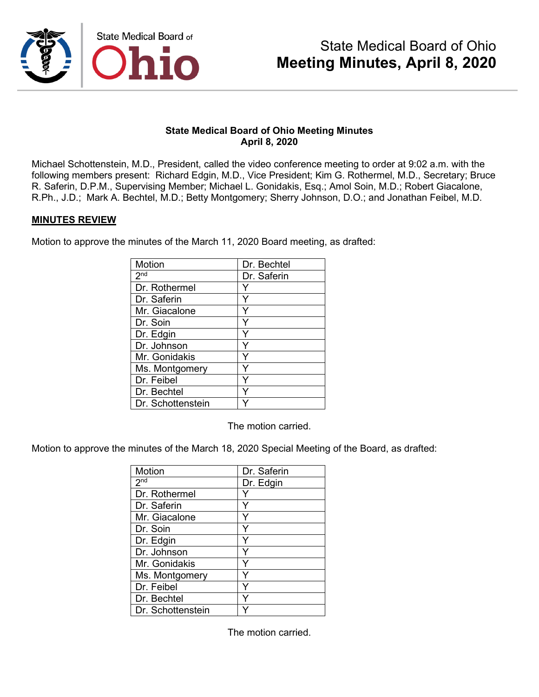

### **State Medical Board of Ohio Meeting Minutes April 8, 2020**

Michael Schottenstein, M.D., President, called the video conference meeting to order at 9:02 a.m. with the following members present: Richard Edgin, M.D., Vice President; Kim G. Rothermel, M.D., Secretary; Bruce R. Saferin, D.P.M., Supervising Member; Michael L. Gonidakis, Esq.; Amol Soin, M.D.; Robert Giacalone, R.Ph., J.D.; Mark A. Bechtel, M.D.; Betty Montgomery; Sherry Johnson, D.O.; and Jonathan Feibel, M.D.

### **MINUTES REVIEW**

Motion to approve the minutes of the March 11, 2020 Board meeting, as drafted:

| Motion              | Dr. Bechtel |
|---------------------|-------------|
| $2^{\overline{nd}}$ | Dr. Saferin |
| Dr. Rothermel       |             |
| Dr. Saferin         |             |
| Mr. Giacalone       |             |
| Dr. Soin            | Y           |
| Dr. Edgin           | Y           |
| Dr. Johnson         | Y           |
| Mr. Gonidakis       |             |
| Ms. Montgomery      | ٧           |
| Dr. Feibel          |             |
| Dr. Bechtel         |             |
| Dr. Schottenstein   |             |

The motion carried.

Motion to approve the minutes of the March 18, 2020 Special Meeting of the Board, as drafted:

| Motion            | Dr. Saferin |
|-------------------|-------------|
| 2 <sub>nd</sub>   | Dr. Edgin   |
| Dr. Rothermel     |             |
| Dr. Saferin       |             |
| Mr. Giacalone     |             |
| Dr. Soin          | Y           |
| Dr. Edgin         | Y           |
| Dr. Johnson       | Y           |
| Mr. Gonidakis     | Υ           |
| Ms. Montgomery    |             |
| Dr. Feibel        |             |
| Dr. Bechtel       |             |
| Dr. Schottenstein |             |

The motion carried.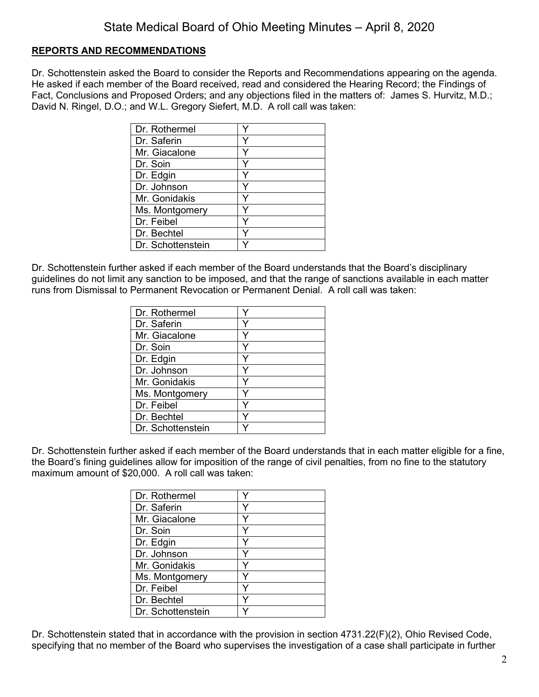## **REPORTS AND RECOMMENDATIONS**

Dr. Schottenstein asked the Board to consider the Reports and Recommendations appearing on the agenda. He asked if each member of the Board received, read and considered the Hearing Record; the Findings of Fact, Conclusions and Proposed Orders; and any objections filed in the matters of: James S. Hurvitz, M.D.; David N. Ringel, D.O.; and W.L. Gregory Siefert, M.D. A roll call was taken:

| Dr. Rothermel     |  |
|-------------------|--|
| Dr. Saferin       |  |
| Mr. Giacalone     |  |
| Dr. Soin          |  |
| Dr. Edgin         |  |
| Dr. Johnson       |  |
| Mr. Gonidakis     |  |
| Ms. Montgomery    |  |
| Dr. Feibel        |  |
| Dr. Bechtel       |  |
| Dr. Schottenstein |  |

Dr. Schottenstein further asked if each member of the Board understands that the Board's disciplinary guidelines do not limit any sanction to be imposed, and that the range of sanctions available in each matter runs from Dismissal to Permanent Revocation or Permanent Denial. A roll call was taken:

| Dr. Rothermel     |   |
|-------------------|---|
| Dr. Saferin       |   |
| Mr. Giacalone     |   |
| Dr. Soin          |   |
| Dr. Edgin         |   |
| Dr. Johnson       | Y |
| Mr. Gonidakis     |   |
| Ms. Montgomery    |   |
| Dr. Feibel        |   |
| Dr. Bechtel       |   |
| Dr. Schottenstein |   |

Dr. Schottenstein further asked if each member of the Board understands that in each matter eligible for a fine, the Board's fining guidelines allow for imposition of the range of civil penalties, from no fine to the statutory maximum amount of \$20,000. A roll call was taken:

| Dr. Rothermel     |  |
|-------------------|--|
| Dr. Saferin       |  |
| Mr. Giacalone     |  |
| Dr. Soin          |  |
| Dr. Edgin         |  |
| Dr. Johnson       |  |
| Mr. Gonidakis     |  |
| Ms. Montgomery    |  |
| Dr. Feibel        |  |
| Dr. Bechtel       |  |
| Dr. Schottenstein |  |

Dr. Schottenstein stated that in accordance with the provision in section 4731.22(F)(2), Ohio Revised Code, specifying that no member of the Board who supervises the investigation of a case shall participate in further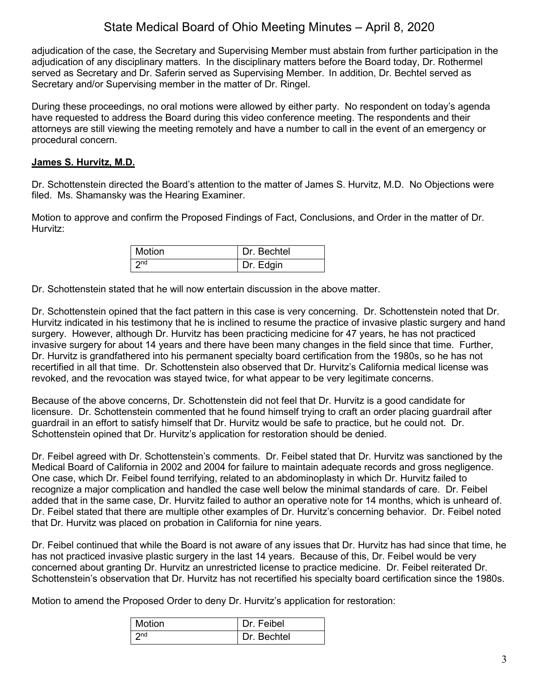adjudication of the case, the Secretary and Supervising Member must abstain from further participation in the adjudication of any disciplinary matters. In the disciplinary matters before the Board today, Dr. Rothermel served as Secretary and Dr. Saferin served as Supervising Member. In addition, Dr. Bechtel served as Secretary and/or Supervising member in the matter of Dr. Ringel.

During these proceedings, no oral motions were allowed by either party. No respondent on today's agenda have requested to address the Board during this video conference meeting. The respondents and their attorneys are still viewing the meeting remotely and have a number to call in the event of an emergency or procedural concern.

## **James S. Hurvitz, M.D.**

Dr. Schottenstein directed the Board's attention to the matter of James S. Hurvitz, M.D. No Objections were filed. Ms. Shamansky was the Hearing Examiner.

Motion to approve and confirm the Proposed Findings of Fact, Conclusions, and Order in the matter of Dr. Hurvitz:

| Motion          | Dr. Bechtel |
|-----------------|-------------|
| 2 <sub>nd</sub> | Dr. Edgin   |

Dr. Schottenstein stated that he will now entertain discussion in the above matter.

Dr. Schottenstein opined that the fact pattern in this case is very concerning. Dr. Schottenstein noted that Dr. Hurvitz indicated in his testimony that he is inclined to resume the practice of invasive plastic surgery and hand surgery. However, although Dr. Hurvitz has been practicing medicine for 47 years, he has not practiced invasive surgery for about 14 years and there have been many changes in the field since that time. Further, Dr. Hurvitz is grandfathered into his permanent specialty board certification from the 1980s, so he has not recertified in all that time. Dr. Schottenstein also observed that Dr. Hurvitz's California medical license was revoked, and the revocation was stayed twice, for what appear to be very legitimate concerns.

Because of the above concerns, Dr. Schottenstein did not feel that Dr. Hurvitz is a good candidate for licensure. Dr. Schottenstein commented that he found himself trying to craft an order placing guardrail after guardrail in an effort to satisfy himself that Dr. Hurvitz would be safe to practice, but he could not. Dr. Schottenstein opined that Dr. Hurvitz's application for restoration should be denied.

Dr. Feibel agreed with Dr. Schottenstein's comments. Dr. Feibel stated that Dr. Hurvitz was sanctioned by the Medical Board of California in 2002 and 2004 for failure to maintain adequate records and gross negligence. One case, which Dr. Feibel found terrifying, related to an abdominoplasty in which Dr. Hurvitz failed to recognize a major complication and handled the case well below the minimal standards of care. Dr. Feibel added that in the same case, Dr. Hurvitz failed to author an operative note for 14 months, which is unheard of. Dr. Feibel stated that there are multiple other examples of Dr. Hurvitz's concerning behavior. Dr. Feibel noted that Dr. Hurvitz was placed on probation in California for nine years.

Dr. Feibel continued that while the Board is not aware of any issues that Dr. Hurvitz has had since that time, he has not practiced invasive plastic surgery in the last 14 years. Because of this, Dr. Feibel would be very concerned about granting Dr. Hurvitz an unrestricted license to practice medicine. Dr. Feibel reiterated Dr. Schottenstein's observation that Dr. Hurvitz has not recertified his specialty board certification since the 1980s.

Motion to amend the Proposed Order to deny Dr. Hurvitz's application for restoration:

| Motion          | Dr. Feibel  |
|-----------------|-------------|
| 2 <sub>nd</sub> | Dr. Bechtel |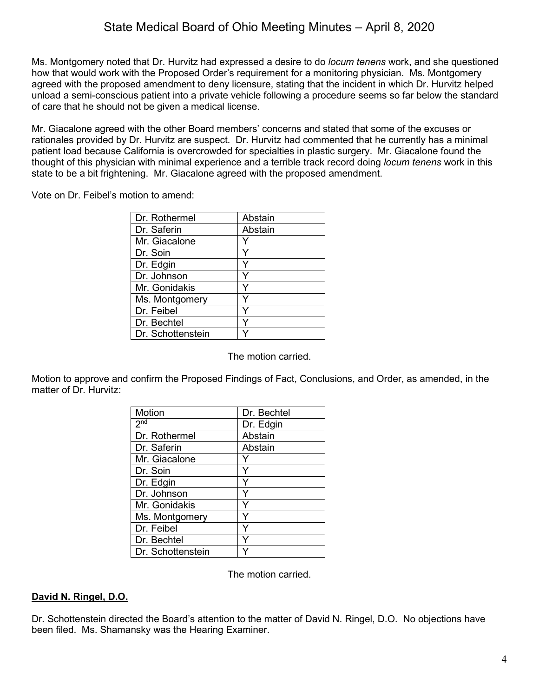Ms. Montgomery noted that Dr. Hurvitz had expressed a desire to do *locum tenens* work, and she questioned how that would work with the Proposed Order's requirement for a monitoring physician. Ms. Montgomery agreed with the proposed amendment to deny licensure, stating that the incident in which Dr. Hurvitz helped unload a semi-conscious patient into a private vehicle following a procedure seems so far below the standard of care that he should not be given a medical license.

Mr. Giacalone agreed with the other Board members' concerns and stated that some of the excuses or rationales provided by Dr. Hurvitz are suspect. Dr. Hurvitz had commented that he currently has a minimal patient load because California is overcrowded for specialties in plastic surgery. Mr. Giacalone found the thought of this physician with minimal experience and a terrible track record doing *locum tenens* work in this state to be a bit frightening. Mr. Giacalone agreed with the proposed amendment.

Vote on Dr. Feibel's motion to amend:

| Dr. Rothermel     | Abstain |
|-------------------|---------|
| Dr. Saferin       | Abstain |
| Mr. Giacalone     |         |
| Dr. Soin          | Y       |
| Dr. Edgin         |         |
| Dr. Johnson       |         |
| Mr. Gonidakis     |         |
| Ms. Montgomery    |         |
| Dr. Feibel        |         |
| Dr. Bechtel       |         |
| Dr. Schottenstein |         |

The motion carried.

Motion to approve and confirm the Proposed Findings of Fact, Conclusions, and Order, as amended, in the matter of Dr. Hurvitz:

| Motion            | Dr. Bechtel |
|-------------------|-------------|
| 2 <sup>nd</sup>   | Dr. Edgin   |
| Dr. Rothermel     | Abstain     |
| Dr. Saferin       | Abstain     |
| Mr. Giacalone     |             |
| Dr. Soin          | Y           |
| Dr. Edgin         |             |
| Dr. Johnson       |             |
| Mr. Gonidakis     | Y           |
| Ms. Montgomery    |             |
| Dr. Feibel        | ٧           |
| Dr. Bechtel       |             |
| Dr. Schottenstein |             |

The motion carried.

## **David N. Ringel, D.O.**

Dr. Schottenstein directed the Board's attention to the matter of David N. Ringel, D.O. No objections have been filed. Ms. Shamansky was the Hearing Examiner.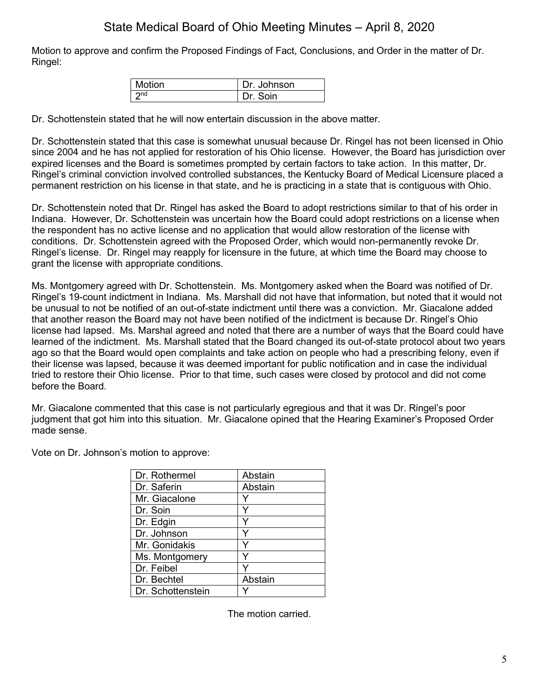Motion to approve and confirm the Proposed Findings of Fact, Conclusions, and Order in the matter of Dr. Ringel:

| Motion | Dr. Johnson |
|--------|-------------|
|        | Soin        |

Dr. Schottenstein stated that he will now entertain discussion in the above matter.

Dr. Schottenstein stated that this case is somewhat unusual because Dr. Ringel has not been licensed in Ohio since 2004 and he has not applied for restoration of his Ohio license. However, the Board has jurisdiction over expired licenses and the Board is sometimes prompted by certain factors to take action. In this matter, Dr. Ringel's criminal conviction involved controlled substances, the Kentucky Board of Medical Licensure placed a permanent restriction on his license in that state, and he is practicing in a state that is contiguous with Ohio.

Dr. Schottenstein noted that Dr. Ringel has asked the Board to adopt restrictions similar to that of his order in Indiana. However, Dr. Schottenstein was uncertain how the Board could adopt restrictions on a license when the respondent has no active license and no application that would allow restoration of the license with conditions. Dr. Schottenstein agreed with the Proposed Order, which would non-permanently revoke Dr. Ringel's license. Dr. Ringel may reapply for licensure in the future, at which time the Board may choose to grant the license with appropriate conditions.

Ms. Montgomery agreed with Dr. Schottenstein. Ms. Montgomery asked when the Board was notified of Dr. Ringel's 19-count indictment in Indiana. Ms. Marshall did not have that information, but noted that it would not be unusual to not be notified of an out-of-state indictment until there was a conviction. Mr. Giacalone added that another reason the Board may not have been notified of the indictment is because Dr. Ringel's Ohio license had lapsed. Ms. Marshal agreed and noted that there are a number of ways that the Board could have learned of the indictment. Ms. Marshall stated that the Board changed its out-of-state protocol about two years ago so that the Board would open complaints and take action on people who had a prescribing felony, even if their license was lapsed, because it was deemed important for public notification and in case the individual tried to restore their Ohio license. Prior to that time, such cases were closed by protocol and did not come before the Board.

Mr. Giacalone commented that this case is not particularly egregious and that it was Dr. Ringel's poor judgment that got him into this situation. Mr. Giacalone opined that the Hearing Examiner's Proposed Order made sense.

Vote on Dr. Johnson's motion to approve:

| Dr. Rothermel     | Abstain |
|-------------------|---------|
| Dr. Saferin       | Abstain |
| Mr. Giacalone     |         |
| Dr. Soin          |         |
| Dr. Edgin         |         |
| Dr. Johnson       |         |
| Mr. Gonidakis     |         |
| Ms. Montgomery    |         |
| Dr. Feibel        |         |
| Dr. Bechtel       | Abstain |
| Dr. Schottenstein |         |

The motion carried.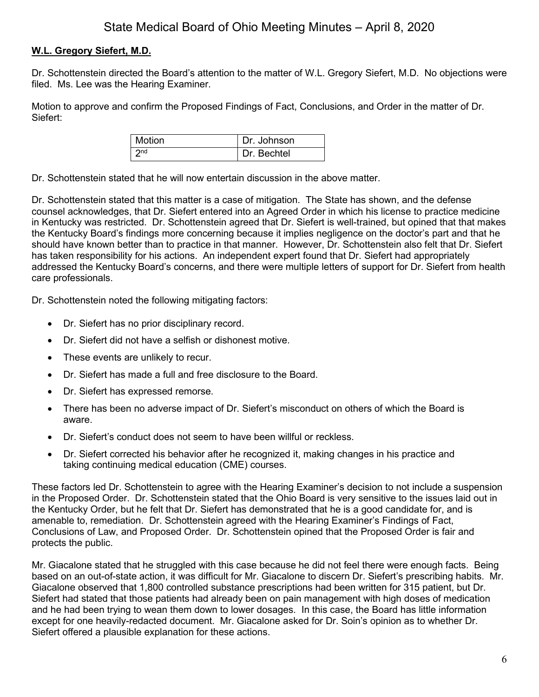## **W.L. Gregory Siefert, M.D.**

Dr. Schottenstein directed the Board's attention to the matter of W.L. Gregory Siefert, M.D. No objections were filed. Ms. Lee was the Hearing Examiner.

Motion to approve and confirm the Proposed Findings of Fact, Conclusions, and Order in the matter of Dr. Siefert:

| <b>Motion</b> | Dr. Johnson |
|---------------|-------------|
| つnd           | Dr. Bechtel |

Dr. Schottenstein stated that he will now entertain discussion in the above matter.

Dr. Schottenstein stated that this matter is a case of mitigation. The State has shown, and the defense counsel acknowledges, that Dr. Siefert entered into an Agreed Order in which his license to practice medicine in Kentucky was restricted. Dr. Schottenstein agreed that Dr. Siefert is well-trained, but opined that that makes the Kentucky Board's findings more concerning because it implies negligence on the doctor's part and that he should have known better than to practice in that manner. However, Dr. Schottenstein also felt that Dr. Siefert has taken responsibility for his actions. An independent expert found that Dr. Siefert had appropriately addressed the Kentucky Board's concerns, and there were multiple letters of support for Dr. Siefert from health care professionals.

Dr. Schottenstein noted the following mitigating factors:

- Dr. Siefert has no prior disciplinary record.
- Dr. Siefert did not have a selfish or dishonest motive.
- These events are unlikely to recur.
- Dr. Siefert has made a full and free disclosure to the Board.
- Dr. Siefert has expressed remorse.
- There has been no adverse impact of Dr. Siefert's misconduct on others of which the Board is aware.
- Dr. Siefert's conduct does not seem to have been willful or reckless.
- Dr. Siefert corrected his behavior after he recognized it, making changes in his practice and taking continuing medical education (CME) courses.

These factors led Dr. Schottenstein to agree with the Hearing Examiner's decision to not include a suspension in the Proposed Order. Dr. Schottenstein stated that the Ohio Board is very sensitive to the issues laid out in the Kentucky Order, but he felt that Dr. Siefert has demonstrated that he is a good candidate for, and is amenable to, remediation. Dr. Schottenstein agreed with the Hearing Examiner's Findings of Fact, Conclusions of Law, and Proposed Order. Dr. Schottenstein opined that the Proposed Order is fair and protects the public.

Mr. Giacalone stated that he struggled with this case because he did not feel there were enough facts. Being based on an out-of-state action, it was difficult for Mr. Giacalone to discern Dr. Siefert's prescribing habits. Mr. Giacalone observed that 1,800 controlled substance prescriptions had been written for 315 patient, but Dr. Siefert had stated that those patients had already been on pain management with high doses of medication and he had been trying to wean them down to lower dosages. In this case, the Board has little information except for one heavily-redacted document. Mr. Giacalone asked for Dr. Soin's opinion as to whether Dr. Siefert offered a plausible explanation for these actions.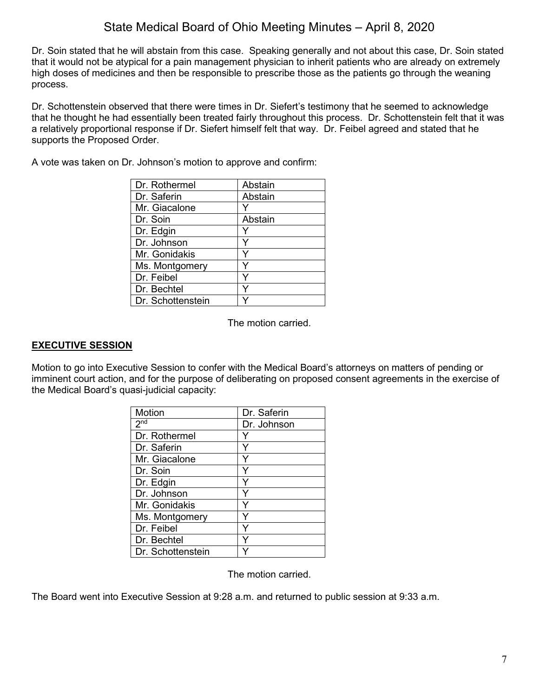Dr. Soin stated that he will abstain from this case. Speaking generally and not about this case, Dr. Soin stated that it would not be atypical for a pain management physician to inherit patients who are already on extremely high doses of medicines and then be responsible to prescribe those as the patients go through the weaning process.

Dr. Schottenstein observed that there were times in Dr. Siefert's testimony that he seemed to acknowledge that he thought he had essentially been treated fairly throughout this process. Dr. Schottenstein felt that it was a relatively proportional response if Dr. Siefert himself felt that way. Dr. Feibel agreed and stated that he supports the Proposed Order.

A vote was taken on Dr. Johnson's motion to approve and confirm:

| Dr. Rothermel     | Abstain |
|-------------------|---------|
| Dr. Saferin       | Abstain |
| Mr. Giacalone     |         |
| Dr. Soin          | Abstain |
| Dr. Edgin         |         |
| Dr. Johnson       |         |
| Mr. Gonidakis     |         |
| Ms. Montgomery    |         |
| Dr. Feibel        |         |
| Dr. Bechtel       |         |
| Dr. Schottenstein |         |

The motion carried.

### **EXECUTIVE SESSION**

Motion to go into Executive Session to confer with the Medical Board's attorneys on matters of pending or imminent court action, and for the purpose of deliberating on proposed consent agreements in the exercise of the Medical Board's quasi-judicial capacity:

| Motion              | Dr. Saferin |
|---------------------|-------------|
| $2^{\overline{nd}}$ | Dr. Johnson |
| Dr. Rothermel       |             |
| Dr. Saferin         |             |
| Mr. Giacalone       |             |
| Dr. Soin            |             |
| Dr. Edgin           | Y           |
| Dr. Johnson         | Y           |
| Mr. Gonidakis       |             |
| Ms. Montgomery      | Υ           |
| Dr. Feibel          | Y           |
| Dr. Bechtel         |             |
| Dr. Schottenstein   |             |

The motion carried.

The Board went into Executive Session at 9:28 a.m. and returned to public session at 9:33 a.m.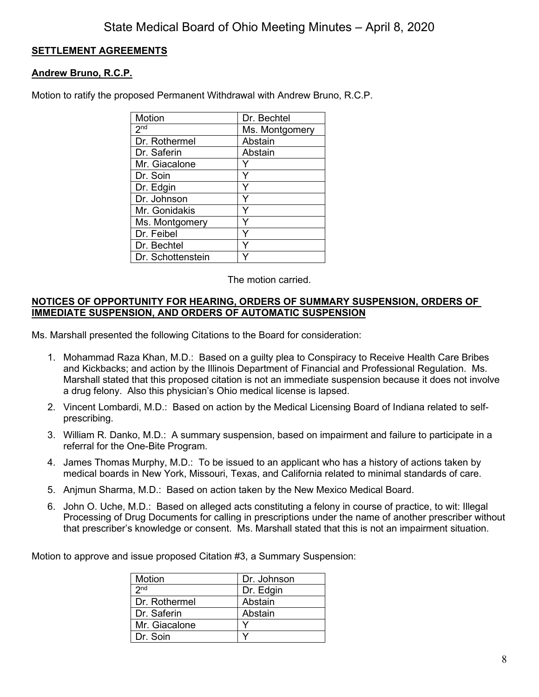## **SETTLEMENT AGREEMENTS**

### **Andrew Bruno, R.C.P.**

Motion to ratify the proposed Permanent Withdrawal with Andrew Bruno, R.C.P.

| Motion              | Dr. Bechtel    |
|---------------------|----------------|
| $2^{\overline{nd}}$ | Ms. Montgomery |
| Dr. Rothermel       | Abstain        |
| Dr. Saferin         | Abstain        |
| Mr. Giacalone       |                |
| Dr. Soin            | Y              |
| Dr. Edgin           | Y              |
| Dr. Johnson         | Y              |
| Mr. Gonidakis       |                |
| Ms. Montgomery      |                |
| Dr. Feibel          | Y              |
| Dr. Bechtel         |                |
| Dr. Schottenstein   |                |

The motion carried.

### **NOTICES OF OPPORTUNITY FOR HEARING, ORDERS OF SUMMARY SUSPENSION, ORDERS OF IMMEDIATE SUSPENSION, AND ORDERS OF AUTOMATIC SUSPENSION**

Ms. Marshall presented the following Citations to the Board for consideration:

- 1. Mohammad Raza Khan, M.D.: Based on a guilty plea to Conspiracy to Receive Health Care Bribes and Kickbacks; and action by the Illinois Department of Financial and Professional Regulation. Ms. Marshall stated that this proposed citation is not an immediate suspension because it does not involve a drug felony. Also this physician's Ohio medical license is lapsed.
- 2. Vincent Lombardi, M.D.: Based on action by the Medical Licensing Board of Indiana related to selfprescribing.
- 3. William R. Danko, M.D.: A summary suspension, based on impairment and failure to participate in a referral for the One-Bite Program.
- 4. James Thomas Murphy, M.D.: To be issued to an applicant who has a history of actions taken by medical boards in New York, Missouri, Texas, and California related to minimal standards of care.
- 5. Anjmun Sharma, M.D.: Based on action taken by the New Mexico Medical Board.
- 6. John O. Uche, M.D.: Based on alleged acts constituting a felony in course of practice, to wit: Illegal Processing of Drug Documents for calling in prescriptions under the name of another prescriber without that prescriber's knowledge or consent. Ms. Marshall stated that this is not an impairment situation.

Motion to approve and issue proposed Citation #3, a Summary Suspension:

| Motion          | Dr. Johnson |
|-----------------|-------------|
| 2 <sub>nd</sub> | Dr. Edgin   |
| Dr. Rothermel   | Abstain     |
| Dr. Saferin     | Abstain     |
| Mr. Giacalone   |             |
| Dr. Soin        |             |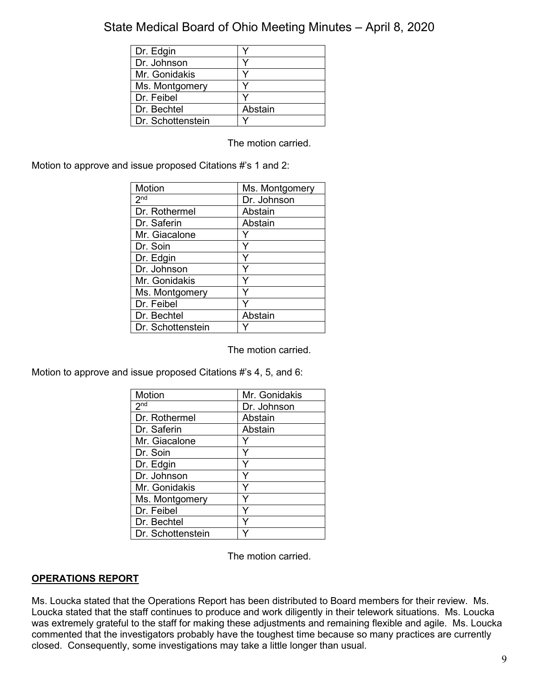| Dr. Edgin         |         |
|-------------------|---------|
| Dr. Johnson       |         |
| Mr. Gonidakis     |         |
| Ms. Montgomery    |         |
| Dr. Feibel        |         |
| Dr. Bechtel       | Abstain |
| Dr. Schottenstein |         |

The motion carried.

Motion to approve and issue proposed Citations #'s 1 and 2:

| Motion                     | Ms. Montgomery |
|----------------------------|----------------|
| $2^{\overline{\text{nd}}}$ | Dr. Johnson    |
| Dr. Rothermel              | Abstain        |
| Dr. Saferin                | Abstain        |
| Mr. Giacalone              |                |
| Dr. Soin                   |                |
| Dr. Edgin                  | Y              |
| Dr. Johnson                | ٧              |
| Mr. Gonidakis              |                |
| Ms. Montgomery             |                |
| Dr. Feibel                 |                |
| Dr. Bechtel                | Abstain        |
| Dr. Schottenstein          |                |

The motion carried.

Motion to approve and issue proposed Citations #'s 4, 5, and 6:

| Motion              | Mr. Gonidakis |
|---------------------|---------------|
| $2^{n\overline{d}}$ | Dr. Johnson   |
| Dr. Rothermel       | Abstain       |
| Dr. Saferin         | Abstain       |
| Mr. Giacalone       |               |
| Dr. Soin            | Y             |
| Dr. Edgin           |               |
| Dr. Johnson         | Y             |
| Mr. Gonidakis       | Y             |
| Ms. Montgomery      | Υ             |
| Dr. Feibel          | Υ             |
| Dr. Bechtel         |               |
| Dr. Schottenstein   |               |

The motion carried.

## **OPERATIONS REPORT**

Ms. Loucka stated that the Operations Report has been distributed to Board members for their review. Ms. Loucka stated that the staff continues to produce and work diligently in their telework situations. Ms. Loucka was extremely grateful to the staff for making these adjustments and remaining flexible and agile. Ms. Loucka commented that the investigators probably have the toughest time because so many practices are currently closed. Consequently, some investigations may take a little longer than usual.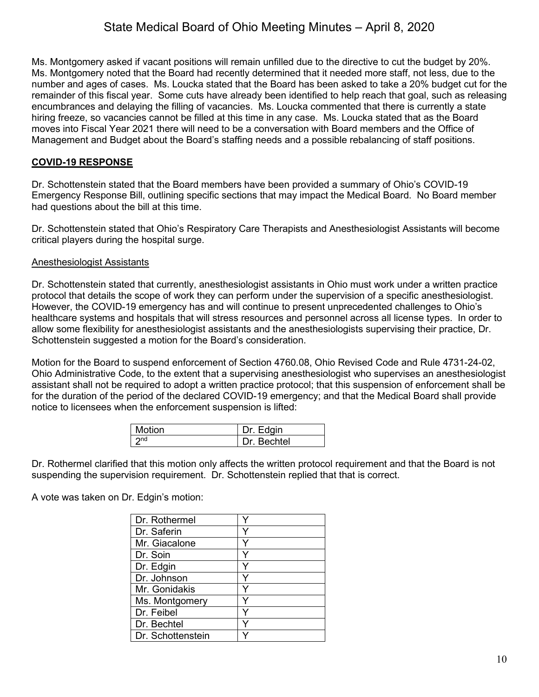Ms. Montgomery asked if vacant positions will remain unfilled due to the directive to cut the budget by 20%. Ms. Montgomery noted that the Board had recently determined that it needed more staff, not less, due to the number and ages of cases. Ms. Loucka stated that the Board has been asked to take a 20% budget cut for the remainder of this fiscal year. Some cuts have already been identified to help reach that goal, such as releasing encumbrances and delaying the filling of vacancies. Ms. Loucka commented that there is currently a state hiring freeze, so vacancies cannot be filled at this time in any case. Ms. Loucka stated that as the Board moves into Fiscal Year 2021 there will need to be a conversation with Board members and the Office of Management and Budget about the Board's staffing needs and a possible rebalancing of staff positions.

### **COVID-19 RESPONSE**

Dr. Schottenstein stated that the Board members have been provided a summary of Ohio's COVID-19 Emergency Response Bill, outlining specific sections that may impact the Medical Board. No Board member had questions about the bill at this time.

Dr. Schottenstein stated that Ohio's Respiratory Care Therapists and Anesthesiologist Assistants will become critical players during the hospital surge.

#### Anesthesiologist Assistants

Dr. Schottenstein stated that currently, anesthesiologist assistants in Ohio must work under a written practice protocol that details the scope of work they can perform under the supervision of a specific anesthesiologist. However, the COVID-19 emergency has and will continue to present unprecedented challenges to Ohio's healthcare systems and hospitals that will stress resources and personnel across all license types. In order to allow some flexibility for anesthesiologist assistants and the anesthesiologists supervising their practice, Dr. Schottenstein suggested a motion for the Board's consideration.

Motion for the Board to suspend enforcement of Section 4760.08, Ohio Revised Code and Rule 4731-24-02, Ohio Administrative Code, to the extent that a supervising anesthesiologist who supervises an anesthesiologist assistant shall not be required to adopt a written practice protocol; that this suspension of enforcement shall be for the duration of the period of the declared COVID-19 emergency; and that the Medical Board shall provide notice to licensees when the enforcement suspension is lifted:

| <b>Motion</b> | Dr. Edgin   |
|---------------|-------------|
|               | Dr. Bechtel |

Dr. Rothermel clarified that this motion only affects the written protocol requirement and that the Board is not suspending the supervision requirement. Dr. Schottenstein replied that that is correct.

A vote was taken on Dr. Edgin's motion:

| Dr. Rothermel     |  |
|-------------------|--|
| Dr. Saferin       |  |
| Mr. Giacalone     |  |
| Dr. Soin          |  |
| Dr. Edgin         |  |
| Dr. Johnson       |  |
| Mr. Gonidakis     |  |
| Ms. Montgomery    |  |
| Dr. Feibel        |  |
| Dr. Bechtel       |  |
| Dr. Schottenstein |  |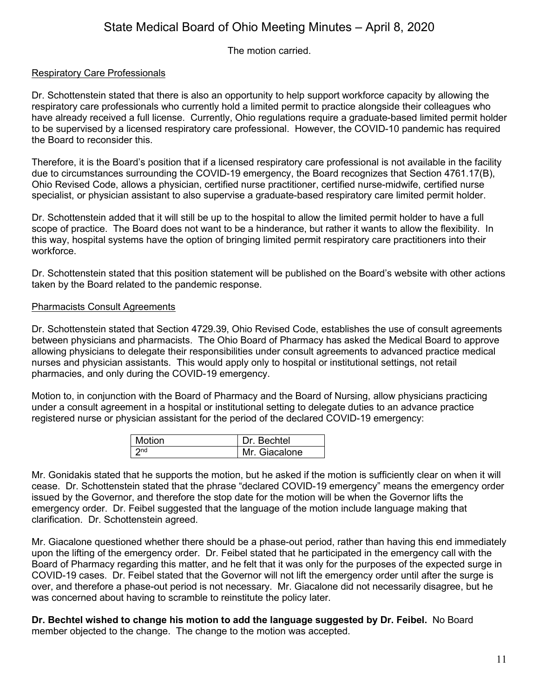The motion carried.

### Respiratory Care Professionals

Dr. Schottenstein stated that there is also an opportunity to help support workforce capacity by allowing the respiratory care professionals who currently hold a limited permit to practice alongside their colleagues who have already received a full license. Currently, Ohio regulations require a graduate-based limited permit holder to be supervised by a licensed respiratory care professional. However, the COVID-10 pandemic has required the Board to reconsider this.

Therefore, it is the Board's position that if a licensed respiratory care professional is not available in the facility due to circumstances surrounding the COVID-19 emergency, the Board recognizes that Section 4761.17(B), Ohio Revised Code, allows a physician, certified nurse practitioner, certified nurse-midwife, certified nurse specialist, or physician assistant to also supervise a graduate-based respiratory care limited permit holder.

Dr. Schottenstein added that it will still be up to the hospital to allow the limited permit holder to have a full scope of practice. The Board does not want to be a hinderance, but rather it wants to allow the flexibility. In this way, hospital systems have the option of bringing limited permit respiratory care practitioners into their workforce.

Dr. Schottenstein stated that this position statement will be published on the Board's website with other actions taken by the Board related to the pandemic response.

### Pharmacists Consult Agreements

Dr. Schottenstein stated that Section 4729.39, Ohio Revised Code, establishes the use of consult agreements between physicians and pharmacists. The Ohio Board of Pharmacy has asked the Medical Board to approve allowing physicians to delegate their responsibilities under consult agreements to advanced practice medical nurses and physician assistants. This would apply only to hospital or institutional settings, not retail pharmacies, and only during the COVID-19 emergency.

Motion to, in conjunction with the Board of Pharmacy and the Board of Nursing, allow physicians practicing under a consult agreement in a hospital or institutional setting to delegate duties to an advance practice registered nurse or physician assistant for the period of the declared COVID-19 emergency:

| Motion          | Dr. Bechtel   |
|-----------------|---------------|
| 2n <sub>d</sub> | Mr. Giacalone |

Mr. Gonidakis stated that he supports the motion, but he asked if the motion is sufficiently clear on when it will cease. Dr. Schottenstein stated that the phrase "declared COVID-19 emergency" means the emergency order issued by the Governor, and therefore the stop date for the motion will be when the Governor lifts the emergency order. Dr. Feibel suggested that the language of the motion include language making that clarification. Dr. Schottenstein agreed.

Mr. Giacalone questioned whether there should be a phase-out period, rather than having this end immediately upon the lifting of the emergency order. Dr. Feibel stated that he participated in the emergency call with the Board of Pharmacy regarding this matter, and he felt that it was only for the purposes of the expected surge in COVID-19 cases. Dr. Feibel stated that the Governor will not lift the emergency order until after the surge is over, and therefore a phase-out period is not necessary. Mr. Giacalone did not necessarily disagree, but he was concerned about having to scramble to reinstitute the policy later.

**Dr. Bechtel wished to change his motion to add the language suggested by Dr. Feibel.** No Board member objected to the change. The change to the motion was accepted.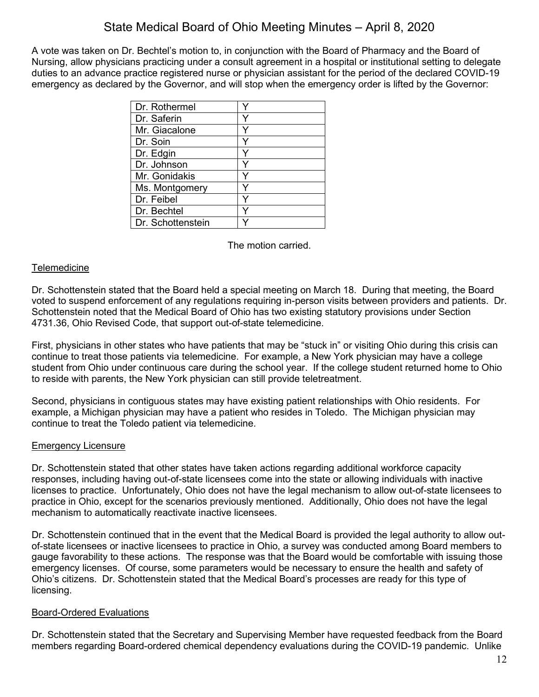A vote was taken on Dr. Bechtel's motion to, in conjunction with the Board of Pharmacy and the Board of Nursing, allow physicians practicing under a consult agreement in a hospital or institutional setting to delegate duties to an advance practice registered nurse or physician assistant for the period of the declared COVID-19 emergency as declared by the Governor, and will stop when the emergency order is lifted by the Governor:

| Dr. Rothermel     |  |
|-------------------|--|
| Dr. Saferin       |  |
| Mr. Giacalone     |  |
| Dr. Soin          |  |
| Dr. Edgin         |  |
| Dr. Johnson       |  |
| Mr. Gonidakis     |  |
| Ms. Montgomery    |  |
| Dr. Feibel        |  |
| Dr. Bechtel       |  |
| Dr. Schottenstein |  |

The motion carried.

### Telemedicine

Dr. Schottenstein stated that the Board held a special meeting on March 18. During that meeting, the Board voted to suspend enforcement of any regulations requiring in-person visits between providers and patients. Dr. Schottenstein noted that the Medical Board of Ohio has two existing statutory provisions under Section 4731.36, Ohio Revised Code, that support out-of-state telemedicine.

First, physicians in other states who have patients that may be "stuck in" or visiting Ohio during this crisis can continue to treat those patients via telemedicine. For example, a New York physician may have a college student from Ohio under continuous care during the school year. If the college student returned home to Ohio to reside with parents, the New York physician can still provide teletreatment.

Second, physicians in contiguous states may have existing patient relationships with Ohio residents. For example, a Michigan physician may have a patient who resides in Toledo. The Michigan physician may continue to treat the Toledo patient via telemedicine.

### Emergency Licensure

Dr. Schottenstein stated that other states have taken actions regarding additional workforce capacity responses, including having out-of-state licensees come into the state or allowing individuals with inactive licenses to practice. Unfortunately, Ohio does not have the legal mechanism to allow out-of-state licensees to practice in Ohio, except for the scenarios previously mentioned. Additionally, Ohio does not have the legal mechanism to automatically reactivate inactive licensees.

Dr. Schottenstein continued that in the event that the Medical Board is provided the legal authority to allow outof-state licensees or inactive licensees to practice in Ohio, a survey was conducted among Board members to gauge favorability to these actions. The response was that the Board would be comfortable with issuing those emergency licenses. Of course, some parameters would be necessary to ensure the health and safety of Ohio's citizens. Dr. Schottenstein stated that the Medical Board's processes are ready for this type of licensing.

### Board-Ordered Evaluations

Dr. Schottenstein stated that the Secretary and Supervising Member have requested feedback from the Board members regarding Board-ordered chemical dependency evaluations during the COVID-19 pandemic. Unlike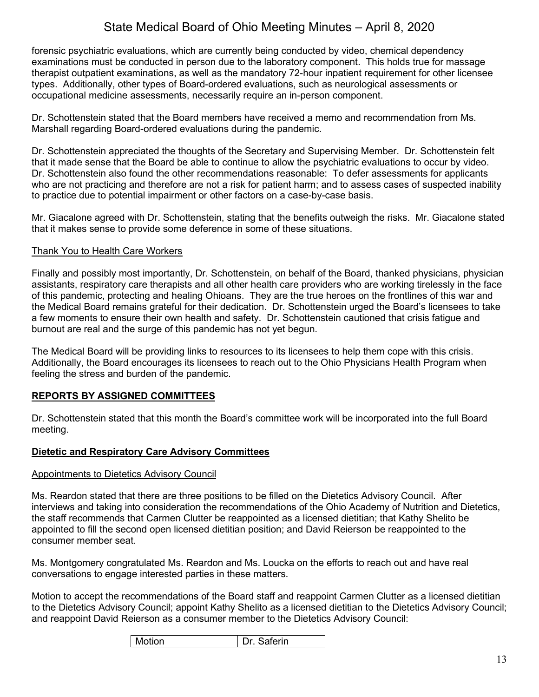forensic psychiatric evaluations, which are currently being conducted by video, chemical dependency examinations must be conducted in person due to the laboratory component. This holds true for massage therapist outpatient examinations, as well as the mandatory 72-hour inpatient requirement for other licensee types. Additionally, other types of Board-ordered evaluations, such as neurological assessments or occupational medicine assessments, necessarily require an in-person component.

Dr. Schottenstein stated that the Board members have received a memo and recommendation from Ms. Marshall regarding Board-ordered evaluations during the pandemic.

Dr. Schottenstein appreciated the thoughts of the Secretary and Supervising Member. Dr. Schottenstein felt that it made sense that the Board be able to continue to allow the psychiatric evaluations to occur by video. Dr. Schottenstein also found the other recommendations reasonable: To defer assessments for applicants who are not practicing and therefore are not a risk for patient harm; and to assess cases of suspected inability to practice due to potential impairment or other factors on a case-by-case basis.

Mr. Giacalone agreed with Dr. Schottenstein, stating that the benefits outweigh the risks. Mr. Giacalone stated that it makes sense to provide some deference in some of these situations.

### Thank You to Health Care Workers

Finally and possibly most importantly, Dr. Schottenstein, on behalf of the Board, thanked physicians, physician assistants, respiratory care therapists and all other health care providers who are working tirelessly in the face of this pandemic, protecting and healing Ohioans. They are the true heroes on the frontlines of this war and the Medical Board remains grateful for their dedication. Dr. Schottenstein urged the Board's licensees to take a few moments to ensure their own health and safety. Dr. Schottenstein cautioned that crisis fatigue and burnout are real and the surge of this pandemic has not yet begun.

The Medical Board will be providing links to resources to its licensees to help them cope with this crisis. Additionally, the Board encourages its licensees to reach out to the Ohio Physicians Health Program when feeling the stress and burden of the pandemic.

## **REPORTS BY ASSIGNED COMMITTEES**

Dr. Schottenstein stated that this month the Board's committee work will be incorporated into the full Board meeting.

### **Dietetic and Respiratory Care Advisory Committees**

### Appointments to Dietetics Advisory Council

Ms. Reardon stated that there are three positions to be filled on the Dietetics Advisory Council. After interviews and taking into consideration the recommendations of the Ohio Academy of Nutrition and Dietetics, the staff recommends that Carmen Clutter be reappointed as a licensed dietitian; that Kathy Shelito be appointed to fill the second open licensed dietitian position; and David Reierson be reappointed to the consumer member seat.

Ms. Montgomery congratulated Ms. Reardon and Ms. Loucka on the efforts to reach out and have real conversations to engage interested parties in these matters.

Motion to accept the recommendations of the Board staff and reappoint Carmen Clutter as a licensed dietitian to the Dietetics Advisory Council; appoint Kathy Shelito as a licensed dietitian to the Dietetics Advisory Council; and reappoint David Reierson as a consumer member to the Dietetics Advisory Council: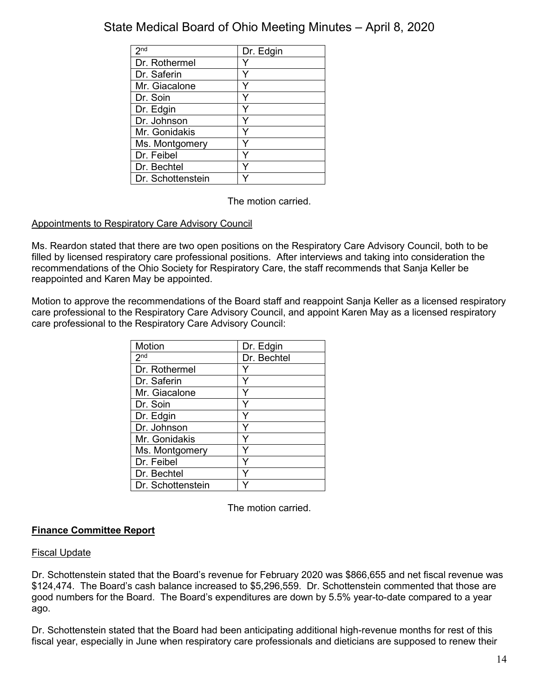| 2 <sub>nd</sub>   | Dr. Edgin |
|-------------------|-----------|
| Dr. Rothermel     |           |
| Dr. Saferin       |           |
| Mr. Giacalone     |           |
| Dr. Soin          |           |
| Dr. Edgin         |           |
| Dr. Johnson       |           |
| Mr. Gonidakis     |           |
| Ms. Montgomery    |           |
| Dr. Feibel        |           |
| Dr. Bechtel       |           |
| Dr. Schottenstein |           |

The motion carried.

## Appointments to Respiratory Care Advisory Council

Ms. Reardon stated that there are two open positions on the Respiratory Care Advisory Council, both to be filled by licensed respiratory care professional positions. After interviews and taking into consideration the recommendations of the Ohio Society for Respiratory Care, the staff recommends that Sanja Keller be reappointed and Karen May be appointed.

Motion to approve the recommendations of the Board staff and reappoint Sanja Keller as a licensed respiratory care professional to the Respiratory Care Advisory Council, and appoint Karen May as a licensed respiratory care professional to the Respiratory Care Advisory Council:

| Motion            | Dr. Edgin   |
|-------------------|-------------|
| 2 <sup>nd</sup>   | Dr. Bechtel |
| Dr. Rothermel     | Y           |
| Dr. Saferin       |             |
| Mr. Giacalone     | Y           |
| Dr. Soin          |             |
| Dr. Edgin         |             |
| Dr. Johnson       | Y           |
| Mr. Gonidakis     | Y           |
| Ms. Montgomery    |             |
| Dr. Feibel        | Υ           |
| Dr. Bechtel       |             |
| Dr. Schottenstein |             |

The motion carried.

## **Finance Committee Report**

### Fiscal Update

Dr. Schottenstein stated that the Board's revenue for February 2020 was \$866,655 and net fiscal revenue was \$124,474. The Board's cash balance increased to \$5,296,559. Dr. Schottenstein commented that those are good numbers for the Board. The Board's expenditures are down by 5.5% year-to-date compared to a year ago.

Dr. Schottenstein stated that the Board had been anticipating additional high-revenue months for rest of this fiscal year, especially in June when respiratory care professionals and dieticians are supposed to renew their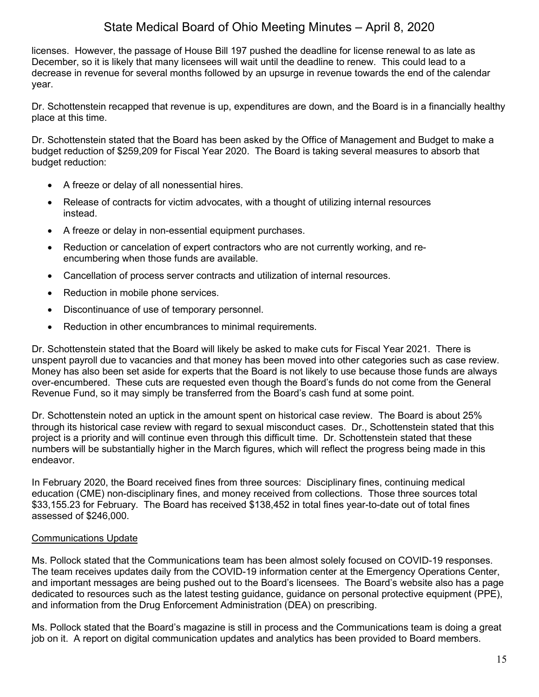licenses. However, the passage of House Bill 197 pushed the deadline for license renewal to as late as December, so it is likely that many licensees will wait until the deadline to renew. This could lead to a decrease in revenue for several months followed by an upsurge in revenue towards the end of the calendar year.

Dr. Schottenstein recapped that revenue is up, expenditures are down, and the Board is in a financially healthy place at this time.

Dr. Schottenstein stated that the Board has been asked by the Office of Management and Budget to make a budget reduction of \$259,209 for Fiscal Year 2020. The Board is taking several measures to absorb that budget reduction:

- A freeze or delay of all nonessential hires.
- Release of contracts for victim advocates, with a thought of utilizing internal resources instead.
- A freeze or delay in non-essential equipment purchases.
- Reduction or cancelation of expert contractors who are not currently working, and reencumbering when those funds are available.
- Cancellation of process server contracts and utilization of internal resources.
- Reduction in mobile phone services.
- Discontinuance of use of temporary personnel.
- Reduction in other encumbrances to minimal requirements.

Dr. Schottenstein stated that the Board will likely be asked to make cuts for Fiscal Year 2021. There is unspent payroll due to vacancies and that money has been moved into other categories such as case review. Money has also been set aside for experts that the Board is not likely to use because those funds are always over-encumbered. These cuts are requested even though the Board's funds do not come from the General Revenue Fund, so it may simply be transferred from the Board's cash fund at some point.

Dr. Schottenstein noted an uptick in the amount spent on historical case review. The Board is about 25% through its historical case review with regard to sexual misconduct cases. Dr., Schottenstein stated that this project is a priority and will continue even through this difficult time. Dr. Schottenstein stated that these numbers will be substantially higher in the March figures, which will reflect the progress being made in this endeavor.

In February 2020, the Board received fines from three sources: Disciplinary fines, continuing medical education (CME) non-disciplinary fines, and money received from collections. Those three sources total \$33,155.23 for February. The Board has received \$138,452 in total fines year-to-date out of total fines assessed of \$246,000.

### Communications Update

Ms. Pollock stated that the Communications team has been almost solely focused on COVID-19 responses. The team receives updates daily from the COVID-19 information center at the Emergency Operations Center, and important messages are being pushed out to the Board's licensees. The Board's website also has a page dedicated to resources such as the latest testing guidance, guidance on personal protective equipment (PPE), and information from the Drug Enforcement Administration (DEA) on prescribing.

Ms. Pollock stated that the Board's magazine is still in process and the Communications team is doing a great job on it. A report on digital communication updates and analytics has been provided to Board members.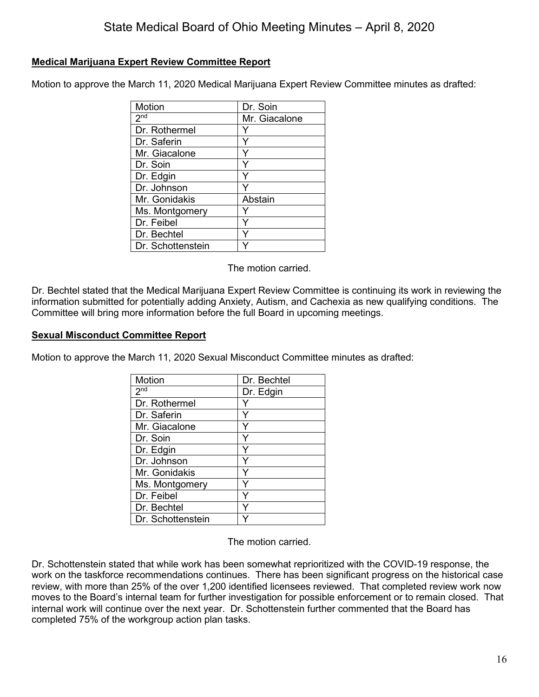### **Medical Marijuana Expert Review Committee Report**

Motion to approve the March 11, 2020 Medical Marijuana Expert Review Committee minutes as drafted:

| Motion            | Dr. Soin      |
|-------------------|---------------|
| 2 <sup>nd</sup>   | Mr. Giacalone |
| Dr. Rothermel     |               |
| Dr. Saferin       |               |
| Mr. Giacalone     |               |
| Dr. Soin          |               |
| Dr. Edgin         |               |
| Dr. Johnson       |               |
| Mr. Gonidakis     | Abstain       |
| Ms. Montgomery    |               |
| Dr. Feibel        |               |
| Dr. Bechtel       |               |
| Dr. Schottenstein |               |

The motion carried.

Dr. Bechtel stated that the Medical Marijuana Expert Review Committee is continuing its work in reviewing the information submitted for potentially adding Anxiety, Autism, and Cachexia as new qualifying conditions. The Committee will bring more information before the full Board in upcoming meetings.

### **Sexual Misconduct Committee Report**

Motion to approve the March 11, 2020 Sexual Misconduct Committee minutes as drafted:

| Motion            | Dr. Bechtel |
|-------------------|-------------|
| 2 <sub>nd</sub>   | Dr. Edgin   |
| Dr. Rothermel     |             |
| Dr. Saferin       | Y           |
| Mr. Giacalone     | Y           |
| Dr. Soin          | Y           |
| Dr. Edgin         | Y           |
| Dr. Johnson       | Y           |
| Mr. Gonidakis     | Y           |
| Ms. Montgomery    | Y           |
| Dr. Feibel        | Y           |
| Dr. Bechtel       |             |
| Dr. Schottenstein |             |

The motion carried.

Dr. Schottenstein stated that while work has been somewhat reprioritized with the COVID-19 response, the work on the taskforce recommendations continues. There has been significant progress on the historical case review, with more than 25% of the over 1,200 identified licensees reviewed. That completed review work now moves to the Board's internal team for further investigation for possible enforcement or to remain closed. That internal work will continue over the next year. Dr. Schottenstein further commented that the Board has completed 75% of the workgroup action plan tasks.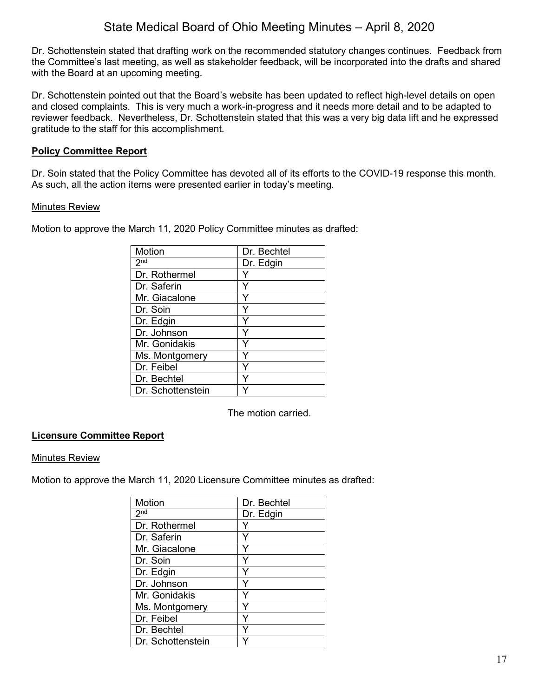Dr. Schottenstein stated that drafting work on the recommended statutory changes continues. Feedback from the Committee's last meeting, as well as stakeholder feedback, will be incorporated into the drafts and shared with the Board at an upcoming meeting.

Dr. Schottenstein pointed out that the Board's website has been updated to reflect high-level details on open and closed complaints. This is very much a work-in-progress and it needs more detail and to be adapted to reviewer feedback. Nevertheless, Dr. Schottenstein stated that this was a very big data lift and he expressed gratitude to the staff for this accomplishment.

### **Policy Committee Report**

Dr. Soin stated that the Policy Committee has devoted all of its efforts to the COVID-19 response this month. As such, all the action items were presented earlier in today's meeting.

#### Minutes Review

Motion to approve the March 11, 2020 Policy Committee minutes as drafted:

| Motion                     | Dr. Bechtel |
|----------------------------|-------------|
| $2^{\overline{\text{nd}}}$ | Dr. Edgin   |
| Dr. Rothermel              |             |
| Dr. Saferin                | Y           |
| Mr. Giacalone              |             |
| Dr. Soin                   |             |
| Dr. Edgin                  | Y           |
| Dr. Johnson                | Y           |
| Mr. Gonidakis              | Y           |
| Ms. Montgomery             |             |
| Dr. Feibel                 |             |
| Dr. Bechtel                |             |
| Dr. Schottenstein          |             |

The motion carried.

### **Licensure Committee Report**

#### Minutes Review

Motion to approve the March 11, 2020 Licensure Committee minutes as drafted:

| Motion            | Dr. Bechtel |
|-------------------|-------------|
| 2 <sub>nd</sub>   | Dr. Edgin   |
| Dr. Rothermel     |             |
| Dr. Saferin       | Y           |
| Mr. Giacalone     | Y           |
| Dr. Soin          | Y           |
| Dr. Edgin         | Y           |
| Dr. Johnson       | Y           |
| Mr. Gonidakis     | Y           |
| Ms. Montgomery    |             |
| Dr. Feibel        | Y           |
| Dr. Bechtel       |             |
| Dr. Schottenstein |             |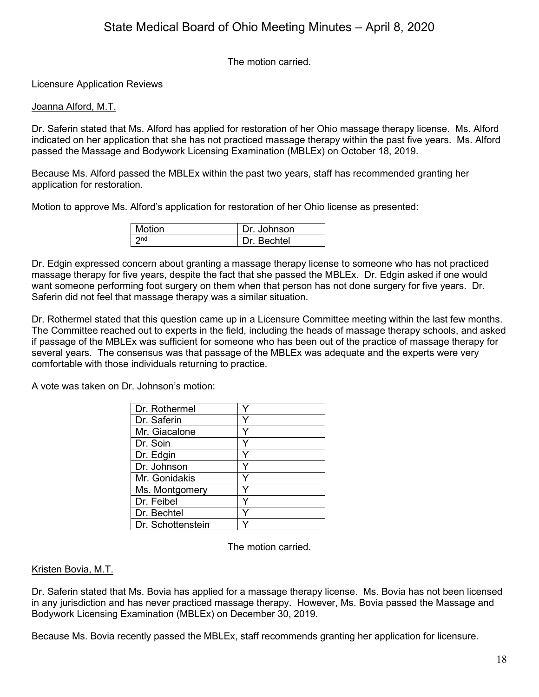The motion carried.

### Licensure Application Reviews

#### Joanna Alford, M.T.

Dr. Saferin stated that Ms. Alford has applied for restoration of her Ohio massage therapy license. Ms. Alford indicated on her application that she has not practiced massage therapy within the past five years. Ms. Alford passed the Massage and Bodywork Licensing Examination (MBLEx) on October 18, 2019.

Because Ms. Alford passed the MBLEx within the past two years, staff has recommended granting her application for restoration.

Motion to approve Ms. Alford's application for restoration of her Ohio license as presented:

| l Motion | Dr. Johnson |
|----------|-------------|
| 2nd      | Dr. Bechtel |

Dr. Edgin expressed concern about granting a massage therapy license to someone who has not practiced massage therapy for five years, despite the fact that she passed the MBLEx. Dr. Edgin asked if one would want someone performing foot surgery on them when that person has not done surgery for five years. Dr. Saferin did not feel that massage therapy was a similar situation.

Dr. Rothermel stated that this question came up in a Licensure Committee meeting within the last few months. The Committee reached out to experts in the field, including the heads of massage therapy schools, and asked if passage of the MBLEx was sufficient for someone who has been out of the practice of massage therapy for several years. The consensus was that passage of the MBLEx was adequate and the experts were very comfortable with those individuals returning to practice.

A vote was taken on Dr. Johnson's motion:

| Dr. Rothermel     |   |
|-------------------|---|
| Dr. Saferin       |   |
| Mr. Giacalone     | Y |
| Dr. Soin          |   |
| Dr. Edgin         | ٧ |
| Dr. Johnson       | v |
| Mr. Gonidakis     |   |
| Ms. Montgomery    |   |
| Dr. Feibel        |   |
| Dr. Bechtel       |   |
| Dr. Schottenstein |   |

The motion carried.

### Kristen Bovia, M.T.

Dr. Saferin stated that Ms. Bovia has applied for a massage therapy license. Ms. Bovia has not been licensed in any jurisdiction and has never practiced massage therapy. However, Ms. Bovia passed the Massage and Bodywork Licensing Examination (MBLEx) on December 30, 2019.

Because Ms. Bovia recently passed the MBLEx, staff recommends granting her application for licensure.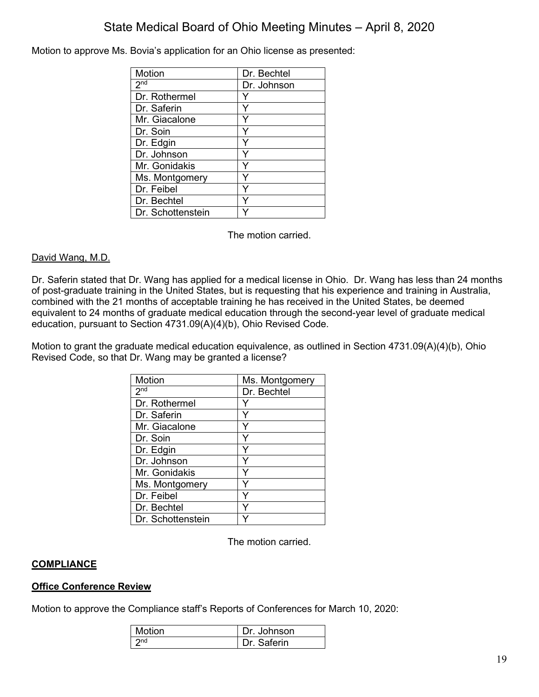Motion to approve Ms. Bovia's application for an Ohio license as presented:

| Motion            | Dr. Bechtel |
|-------------------|-------------|
| 2 <sub>nd</sub>   | Dr. Johnson |
| Dr. Rothermel     |             |
| Dr. Saferin       | Υ           |
| Mr. Giacalone     |             |
| Dr. Soin          |             |
| Dr. Edgin         | Y           |
| Dr. Johnson       | Υ           |
| Mr. Gonidakis     |             |
| Ms. Montgomery    |             |
| Dr. Feibel        |             |
| Dr. Bechtel       |             |
| Dr. Schottenstein |             |

The motion carried.

### David Wang, M.D.

Dr. Saferin stated that Dr. Wang has applied for a medical license in Ohio. Dr. Wang has less than 24 months of post-graduate training in the United States, but is requesting that his experience and training in Australia, combined with the 21 months of acceptable training he has received in the United States, be deemed equivalent to 24 months of graduate medical education through the second-year level of graduate medical education, pursuant to Section 4731.09(A)(4)(b), Ohio Revised Code.

Motion to grant the graduate medical education equivalence, as outlined in Section 4731.09(A)(4)(b), Ohio Revised Code, so that Dr. Wang may be granted a license?

| Motion            | Ms. Montgomery |
|-------------------|----------------|
| 2 <sup>nd</sup>   | Dr. Bechtel    |
| Dr. Rothermel     |                |
| Dr. Saferin       | Y              |
| Mr. Giacalone     |                |
| Dr. Soin          |                |
| Dr. Edgin         | Y              |
| Dr. Johnson       | Y              |
| Mr. Gonidakis     | Y              |
| Ms. Montgomery    | ٧              |
| Dr. Feibel        |                |
| Dr. Bechtel       |                |
| Dr. Schottenstein |                |

The motion carried.

### **COMPLIANCE**

#### **Office Conference Review**

Motion to approve the Compliance staff's Reports of Conferences for March 10, 2020:

| <b>Motion</b> | Dr. Johnson |
|---------------|-------------|
| つnd           | Dr. Saferin |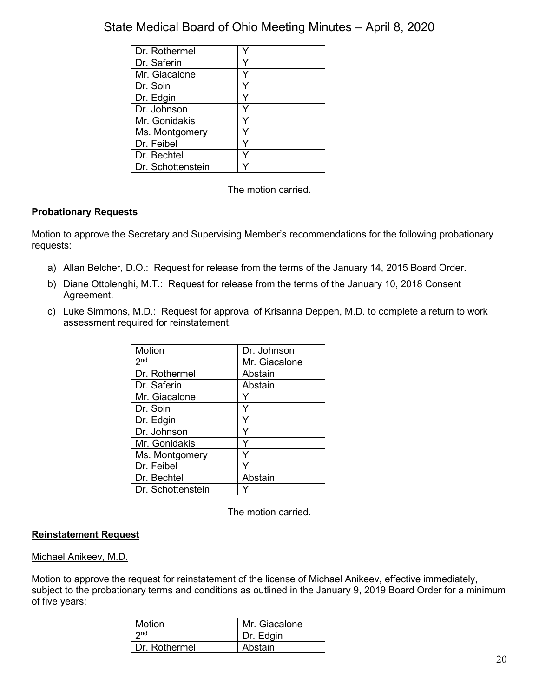| Dr. Rothermel     |  |
|-------------------|--|
| Dr. Saferin       |  |
| Mr. Giacalone     |  |
| Dr. Soin          |  |
| Dr. Edgin         |  |
| Dr. Johnson       |  |
| Mr. Gonidakis     |  |
| Ms. Montgomery    |  |
| Dr. Feibel        |  |
| Dr. Bechtel       |  |
| Dr. Schottenstein |  |

The motion carried.

### **Probationary Requests**

Motion to approve the Secretary and Supervising Member's recommendations for the following probationary requests:

- a) Allan Belcher, D.O.: Request for release from the terms of the January 14, 2015 Board Order.
- b) Diane Ottolenghi, M.T.: Request for release from the terms of the January 10, 2018 Consent Agreement.
- c) Luke Simmons, M.D.: Request for approval of Krisanna Deppen, M.D. to complete a return to work assessment required for reinstatement.

| Motion                     | Dr. Johnson   |
|----------------------------|---------------|
| $2^{\overline{\text{nd}}}$ | Mr. Giacalone |
| Dr. Rothermel              | Abstain       |
| Dr. Saferin                | Abstain       |
| Mr. Giacalone              |               |
| Dr. Soin                   |               |
| Dr. Edgin                  | Y             |
| Dr. Johnson                | Y             |
| Mr. Gonidakis              | Y             |
| Ms. Montgomery             | ٧             |
| Dr. Feibel                 |               |
| Dr. Bechtel                | Abstain       |
| Dr. Schottenstein          |               |

The motion carried.

### **Reinstatement Request**

#### Michael Anikeev, M.D.

Motion to approve the request for reinstatement of the license of Michael Anikeev, effective immediately, subject to the probationary terms and conditions as outlined in the January 9, 2019 Board Order for a minimum of five years:

| <b>Motion</b>   | Mr. Giacalone |
|-----------------|---------------|
| 2 <sub>nd</sub> | Dr. Edgin     |
| Dr. Rothermel   | Abstain       |